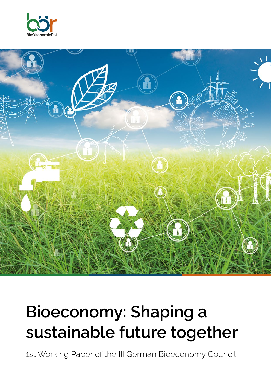



# **Bioeconomy: Shaping a sustainable future together**

1st Working Paper of the III German Bioeconomy Council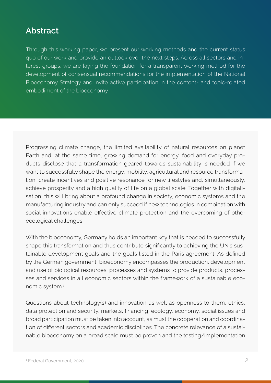### **Abstract**

 quo of our work and provide an outlook over the next steps. Across all sectors and in-Through this working paper, we present our working methods and the current status terest groups, we are laying the foundation for a transparent working method for the development of consensual recommendations for the implementation of the National Bioeconomy Strategy and invite active participation in the content- and topic-related embodiment of the bioeconomy.

 ducts disclose that a transformation geared towards sustainability is needed if we social innovations enable effective climate protection and the overcoming of other Progressing climate change, the limited availability of natural resources on planet Earth and, at the same time, growing demand for energy, food and everyday prowant to successfully shape the energy, mobility, agricultural and resource transformation, create incentives and positive resonance for new lifestyles and, simultaneously, achieve prosperity and a high quality of life on a global scale. Together with digitalisation, this will bring about a profound change in society, economic systems and the manufacturing industry and can only succeed if new technologies in combination with ecological challenges.

shape this transformation and thus contribute significantly to achieving the UN's sus- tainable development goals and the goals listed in the Paris agreement. As defined and use of biological resources, processes and systems to provide products, proces-With the bioeconomy, Germany holds an important key that is needed to successfully by the German government, bioeconomy encompasses the production, development ses and services in all economic sectors within the framework of a sustainable economic system.1

data protection and security, markets, financing, ecology, economy, social issues and tion of different sectors and academic disciplines. The concrete relevance of a sustai-Questions about technology(s) and innovation as well as openness to them, ethics, broad participation must be taken into account, as must the cooperation and coordinanable bioeconomy on a broad scale must be proven and the testing/implementation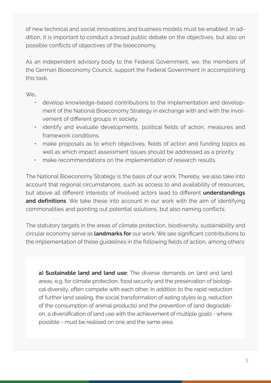of new technical and social innovations and business models must be enabled. In addition, it is important to conduct a broad public debate on the objectives, but also on possible conflicts of objectives of the bioeconomy.

As an independent advisory body to the Federal Government, we, the members of the German Bioeconomy Council, support the Federal Government in accomplishing this task.

We…

- develop knowledge-based contributions to the implementation and development of the National Bioeconomy Strategy in exchange with and with the involvement of different groups in society.
- identify and evaluate developments, political fields of action, measures and framework conditions.
- make proposals as to which objectives, fields of action and funding topics as well as which impact assessment issues should be addressed as a priority.
- make recommendations on the implementation of research results.

 The National Bioeconomy Strategy is the basis of our work. Thereby, we also take into but above all different interests of involved actors lead to different understandings account that regional circumstances, such as access to and availability of resources, **and definitions**. We take these into account in our work with the aim of identifying commonalities and pointing out potential solutions, but also naming conflicts.

 The statutory targets in the areas of climate protection, biodiversity, sustainability and circular economy serve as **landmarks for** ourwork. We see significant contributions to the implementation of these guidelines in the following fields of action, among others:

on, a diversification of land use with the achievement of multiple goals - where **a) Sustainable land and land use:** The diverse demands on land and land areas, e.g. for climate protection, food security and the preservation of biological diversity, often compete with each other. In addition to the rapid reduction of further land sealing, the social transformation of eating styles (e.g. reduction of the consumption of animal products) and the prevention of land degradatipossible - must be realised on one and the same area.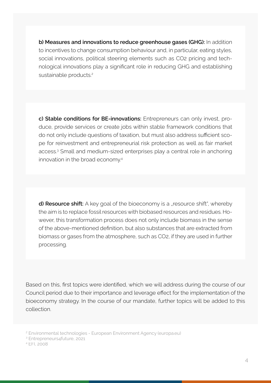nological innovations play a significant role in reducing GHG and establishing **b) Measures and innovations to reduce greenhouse gases (GHG):** In addition to incentives to change consumption behaviour and, in particular, eating styles, social innovations, political steering elements such as CO2 pricing and techsustainable products.<sup>2</sup>

do not only include questions of taxation, but must also address sufficient sco**c) Stable conditions for BE-innovations:** Entrepreneurs can only invest, produce, provide services or create jobs within stable framework conditions that pe for reinvestment and entrepreneurial risk protection as well as fair market access.3 Small and medium-sized enterprises play a central role in anchoring innovation in the broad economy.4

**d) Resource shift:** A key goal of the bioeconomy is a "resource shift", whereby the aim is to replace fossil resources with biobased resources and residues. However, this transformation process does not only include biomass in the sense ofthe above-mentioned definition, but also substances that are extracted from biomass or gases from the atmosphere, such as CO2, if they are used in further processing.

Based on this, first topics were identified, which we will address during the course of our Council period due to their importance and leverage effect for the implementation of the bioeconomy strategy. In the course of our mandate, further topics will be added to this collection.

<sup>2</sup> Environmental technologies - European Environment Agency [\(europa.eu](https://europa.eu))

<sup>3</sup> Entrepreneurs4future, 2021

<sup>4</sup> EFI, 2008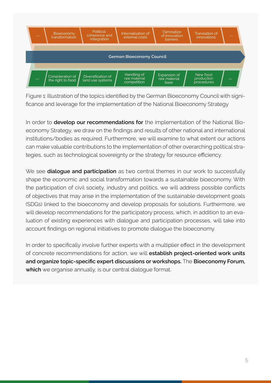

Figure 1: Illustration of the topics identified by the German Bioeconomy Council with significance and leverage for the implementation of the National Bioeconomy Strategy

economy Strategy, we draw on the findings and results of other national and international tegies, such as technological sovereignty or the strategy for resource efficiency. In order to **develop our recommendations for** the implementation of the National Bioinstitutions/bodies as required. Furthermore, we will examine to what extent our actions can make valuable contributions to the implementation of other overarching political stra-

the participation of civil society, industry and politics, we will address possible conflicts We see **dialogue and participation** as two central themes in our work to successfully shape the economic and social transformation towards a sustainable bioeconomy. With of objectives that may arise in the implementation of the sustainable development goals (SDGs) linked to the bioeconomy and develop proposals for solutions. Furthermore, we will develop recommendations for the participatory process, which, in addition to an evaluation of existing experiences with dialogue and participation processes, will take into account findings on regional initiatives to promote dialogue the bioeconomy.

In order to specifically involve further experts with a multiplier effect in the development of concrete recommendations for action, we will **establish project-oriented work units and organize topic-specific expert discussions orworkshops.** The **Bioeconomy Forum, which** we organise annually, is our central dialogue format.